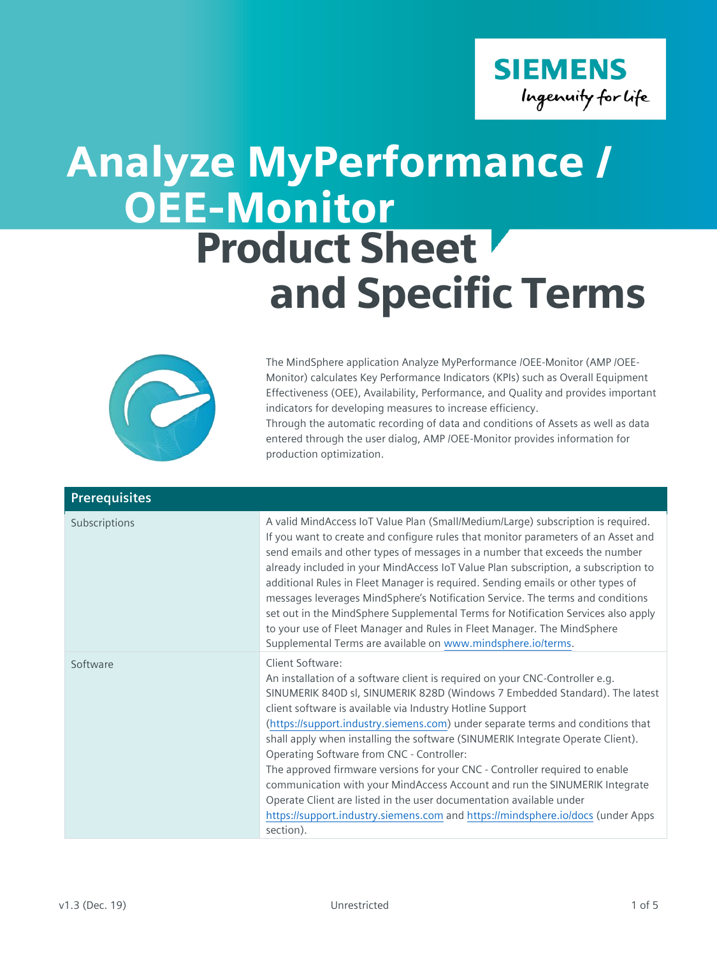## **SIEMENS** Ingenuity for life

## OEE-Monitor Product Sheet and Specific Terms Analyze MyPerformance /



The MindSphere application Analyze MyPerformance /OEE-Monitor (AMP /OEE-Monitor) calculates Key Performance Indicators (KPIs) such as Overall Equipment Effectiveness (OEE), Availability, Performance, and Quality and provides important indicators for developing measures to increase efficiency. Through the automatic recording of data and conditions of Assets as well as data

entered through the user dialog, AMP /OEE-Monitor provides information for production optimization.

| <b>Prerequisites</b> |                                                                                                                                                                                                                                                                                                                                                                                                                                                                                                                                                                                                                                                                                                                                                                                                    |
|----------------------|----------------------------------------------------------------------------------------------------------------------------------------------------------------------------------------------------------------------------------------------------------------------------------------------------------------------------------------------------------------------------------------------------------------------------------------------------------------------------------------------------------------------------------------------------------------------------------------------------------------------------------------------------------------------------------------------------------------------------------------------------------------------------------------------------|
| Subscriptions        | A valid MindAccess IoT Value Plan (Small/Medium/Large) subscription is required.<br>If you want to create and configure rules that monitor parameters of an Asset and<br>send emails and other types of messages in a number that exceeds the number<br>already included in your MindAccess IoT Value Plan subscription, a subscription to<br>additional Rules in Fleet Manager is required. Sending emails or other types of<br>messages leverages MindSphere's Notification Service. The terms and conditions<br>set out in the MindSphere Supplemental Terms for Notification Services also apply<br>to your use of Fleet Manager and Rules in Fleet Manager. The MindSphere<br>Supplemental Terms are available on www.mindsphere.io/terms.                                                    |
| Software             | Client Software:<br>An installation of a software client is required on your CNC-Controller e.g.<br>SINUMERIK 840D sl, SINUMERIK 828D (Windows 7 Embedded Standard). The latest<br>client software is available via Industry Hotline Support<br>(https://support.industry.siemens.com) under separate terms and conditions that<br>shall apply when installing the software (SINUMERIK Integrate Operate Client).<br>Operating Software from CNC - Controller:<br>The approved firmware versions for your CNC - Controller required to enable<br>communication with your MindAccess Account and run the SINUMERIK Integrate<br>Operate Client are listed in the user documentation available under<br>https://support.industry.siemens.com and https://mindsphere.io/docs (under Apps<br>section). |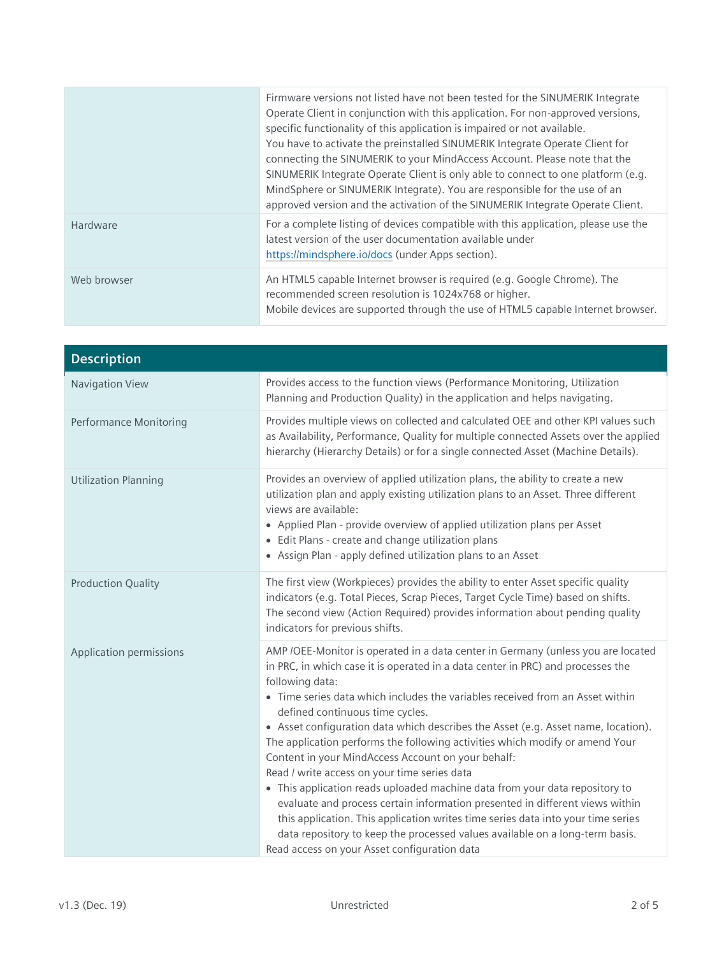|             | Firmware versions not listed have not been tested for the SINUMERIK Integrate<br>Operate Client in conjunction with this application. For non-approved versions,<br>specific functionality of this application is impaired or not available.<br>You have to activate the preinstalled SINUMERIK Integrate Operate Client for<br>connecting the SINUMERIK to your MindAccess Account. Please note that the<br>SINUMERIK Integrate Operate Client is only able to connect to one platform (e.g.<br>MindSphere or SINUMERIK Integrate). You are responsible for the use of an<br>approved version and the activation of the SINUMERIK Integrate Operate Client. |
|-------------|--------------------------------------------------------------------------------------------------------------------------------------------------------------------------------------------------------------------------------------------------------------------------------------------------------------------------------------------------------------------------------------------------------------------------------------------------------------------------------------------------------------------------------------------------------------------------------------------------------------------------------------------------------------|
| Hardware    | For a complete listing of devices compatible with this application, please use the<br>latest version of the user documentation available under<br>https://mindsphere.io/docs (under Apps section).                                                                                                                                                                                                                                                                                                                                                                                                                                                           |
| Web browser | An HTML5 capable Internet browser is required (e.g. Google Chrome). The<br>recommended screen resolution is 1024x768 or higher.<br>Mobile devices are supported through the use of HTML5 capable Internet browser.                                                                                                                                                                                                                                                                                                                                                                                                                                           |

| <b>Description</b>            |                                                                                                                                                                                                                                                                                                                                                                                                                                                                                                                                                                                                                                                                                                                                                                                                                                                                                                                                                                          |
|-------------------------------|--------------------------------------------------------------------------------------------------------------------------------------------------------------------------------------------------------------------------------------------------------------------------------------------------------------------------------------------------------------------------------------------------------------------------------------------------------------------------------------------------------------------------------------------------------------------------------------------------------------------------------------------------------------------------------------------------------------------------------------------------------------------------------------------------------------------------------------------------------------------------------------------------------------------------------------------------------------------------|
| Navigation View               | Provides access to the function views (Performance Monitoring, Utilization<br>Planning and Production Quality) in the application and helps navigating.                                                                                                                                                                                                                                                                                                                                                                                                                                                                                                                                                                                                                                                                                                                                                                                                                  |
| <b>Performance Monitoring</b> | Provides multiple views on collected and calculated OEE and other KPI values such<br>as Availability, Performance, Quality for multiple connected Assets over the applied<br>hierarchy (Hierarchy Details) or for a single connected Asset (Machine Details).                                                                                                                                                                                                                                                                                                                                                                                                                                                                                                                                                                                                                                                                                                            |
| <b>Utilization Planning</b>   | Provides an overview of applied utilization plans, the ability to create a new<br>utilization plan and apply existing utilization plans to an Asset. Three different<br>views are available:<br>• Applied Plan - provide overview of applied utilization plans per Asset<br>• Edit Plans - create and change utilization plans<br>• Assign Plan - apply defined utilization plans to an Asset                                                                                                                                                                                                                                                                                                                                                                                                                                                                                                                                                                            |
| <b>Production Quality</b>     | The first view (Workpieces) provides the ability to enter Asset specific quality<br>indicators (e.g. Total Pieces, Scrap Pieces, Target Cycle Time) based on shifts.<br>The second view (Action Required) provides information about pending quality<br>indicators for previous shifts.                                                                                                                                                                                                                                                                                                                                                                                                                                                                                                                                                                                                                                                                                  |
| Application permissions       | AMP /OEE-Monitor is operated in a data center in Germany (unless you are located<br>in PRC, in which case it is operated in a data center in PRC) and processes the<br>following data:<br>• Time series data which includes the variables received from an Asset within<br>defined continuous time cycles.<br>• Asset configuration data which describes the Asset (e.g. Asset name, location).<br>The application performs the following activities which modify or amend Your<br>Content in your MindAccess Account on your behalf:<br>Read / write access on your time series data<br>• This application reads uploaded machine data from your data repository to<br>evaluate and process certain information presented in different views within<br>this application. This application writes time series data into your time series<br>data repository to keep the processed values available on a long-term basis.<br>Read access on your Asset configuration data |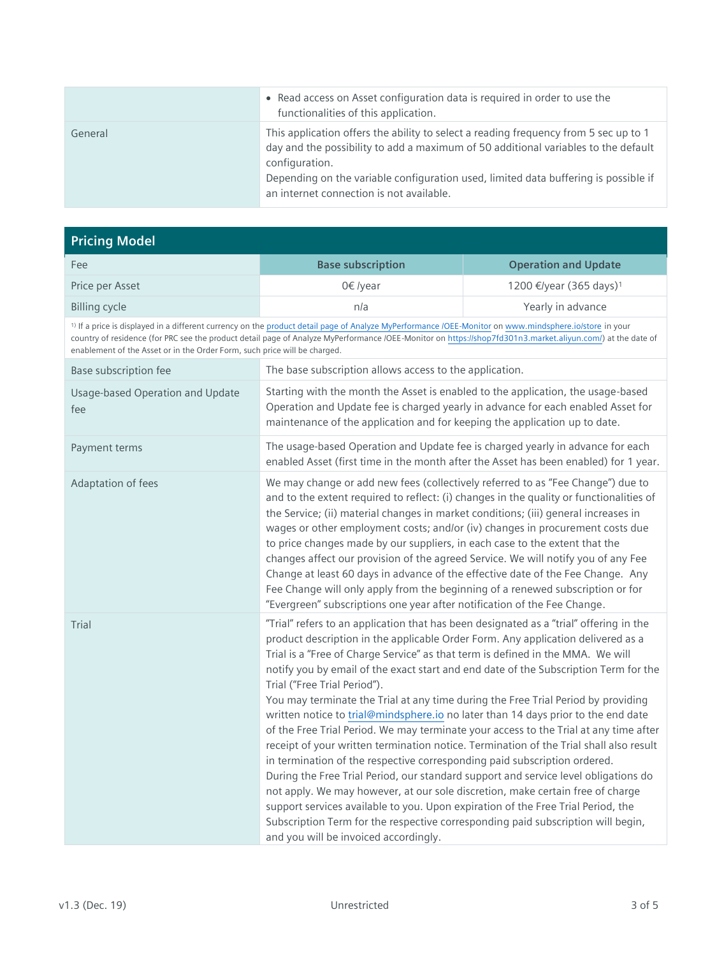|         | • Read access on Asset configuration data is required in order to use the<br>functionalities of this application.                                                                                                                                                                                                               |
|---------|---------------------------------------------------------------------------------------------------------------------------------------------------------------------------------------------------------------------------------------------------------------------------------------------------------------------------------|
| General | This application offers the ability to select a reading frequency from 5 sec up to 1<br>day and the possibility to add a maximum of 50 additional variables to the default<br>configuration.<br>Depending on the variable configuration used, limited data buffering is possible if<br>an internet connection is not available. |

| <b>Pricing Model</b>                                                      |                                                                                                                                                                                                                                                                                                                                                                                                                                                                                                                                                                                                                                                                                                                                                                                                                                                                                                                                                                                                                                                                                                                                                                                                                           |                                     |
|---------------------------------------------------------------------------|---------------------------------------------------------------------------------------------------------------------------------------------------------------------------------------------------------------------------------------------------------------------------------------------------------------------------------------------------------------------------------------------------------------------------------------------------------------------------------------------------------------------------------------------------------------------------------------------------------------------------------------------------------------------------------------------------------------------------------------------------------------------------------------------------------------------------------------------------------------------------------------------------------------------------------------------------------------------------------------------------------------------------------------------------------------------------------------------------------------------------------------------------------------------------------------------------------------------------|-------------------------------------|
| Fee                                                                       | <b>Base subscription</b>                                                                                                                                                                                                                                                                                                                                                                                                                                                                                                                                                                                                                                                                                                                                                                                                                                                                                                                                                                                                                                                                                                                                                                                                  | <b>Operation and Update</b>         |
| Price per Asset                                                           | 0€ /year                                                                                                                                                                                                                                                                                                                                                                                                                                                                                                                                                                                                                                                                                                                                                                                                                                                                                                                                                                                                                                                                                                                                                                                                                  | 1200 €/year (365 days) <sup>1</sup> |
| <b>Billing cycle</b>                                                      | n/a                                                                                                                                                                                                                                                                                                                                                                                                                                                                                                                                                                                                                                                                                                                                                                                                                                                                                                                                                                                                                                                                                                                                                                                                                       | Yearly in advance                   |
| enablement of the Asset or in the Order Form, such price will be charged. | <sup>1)</sup> If a price is displayed in a different currency on the product detail page of Analyze MyPerformance /OEE-Monitor on www.mindsphere.io/store in your<br>country of residence (for PRC see the product detail page of Analyze MyPerformance /OEE-Monitor on https://shop7fd301n3.market.aliyun.com/) at the date of                                                                                                                                                                                                                                                                                                                                                                                                                                                                                                                                                                                                                                                                                                                                                                                                                                                                                           |                                     |
| Base subscription fee                                                     | The base subscription allows access to the application.                                                                                                                                                                                                                                                                                                                                                                                                                                                                                                                                                                                                                                                                                                                                                                                                                                                                                                                                                                                                                                                                                                                                                                   |                                     |
| Usage-based Operation and Update<br>fee                                   | Starting with the month the Asset is enabled to the application, the usage-based<br>Operation and Update fee is charged yearly in advance for each enabled Asset for<br>maintenance of the application and for keeping the application up to date.                                                                                                                                                                                                                                                                                                                                                                                                                                                                                                                                                                                                                                                                                                                                                                                                                                                                                                                                                                        |                                     |
| Payment terms                                                             | The usage-based Operation and Update fee is charged yearly in advance for each<br>enabled Asset (first time in the month after the Asset has been enabled) for 1 year.                                                                                                                                                                                                                                                                                                                                                                                                                                                                                                                                                                                                                                                                                                                                                                                                                                                                                                                                                                                                                                                    |                                     |
| Adaptation of fees                                                        | We may change or add new fees (collectively referred to as "Fee Change") due to<br>and to the extent required to reflect: (i) changes in the quality or functionalities of<br>the Service; (ii) material changes in market conditions; (iii) general increases in<br>wages or other employment costs; and/or (iv) changes in procurement costs due<br>to price changes made by our suppliers, in each case to the extent that the<br>changes affect our provision of the agreed Service. We will notify you of any Fee<br>Change at least 60 days in advance of the effective date of the Fee Change. Any<br>Fee Change will only apply from the beginning of a renewed subscription or for<br>"Evergreen" subscriptions one year after notification of the Fee Change.                                                                                                                                                                                                                                                                                                                                                                                                                                                   |                                     |
| Trial                                                                     | "Trial" refers to an application that has been designated as a "trial" offering in the<br>product description in the applicable Order Form. Any application delivered as a<br>Trial is a "Free of Charge Service" as that term is defined in the MMA. We will<br>notify you by email of the exact start and end date of the Subscription Term for the<br>Trial ("Free Trial Period").<br>You may terminate the Trial at any time during the Free Trial Period by providing<br>written notice to trial@mindsphere.io no later than 14 days prior to the end date<br>of the Free Trial Period. We may terminate your access to the Trial at any time after<br>receipt of your written termination notice. Termination of the Trial shall also result<br>in termination of the respective corresponding paid subscription ordered.<br>During the Free Trial Period, our standard support and service level obligations do<br>not apply. We may however, at our sole discretion, make certain free of charge<br>support services available to you. Upon expiration of the Free Trial Period, the<br>Subscription Term for the respective corresponding paid subscription will begin,<br>and you will be invoiced accordingly. |                                     |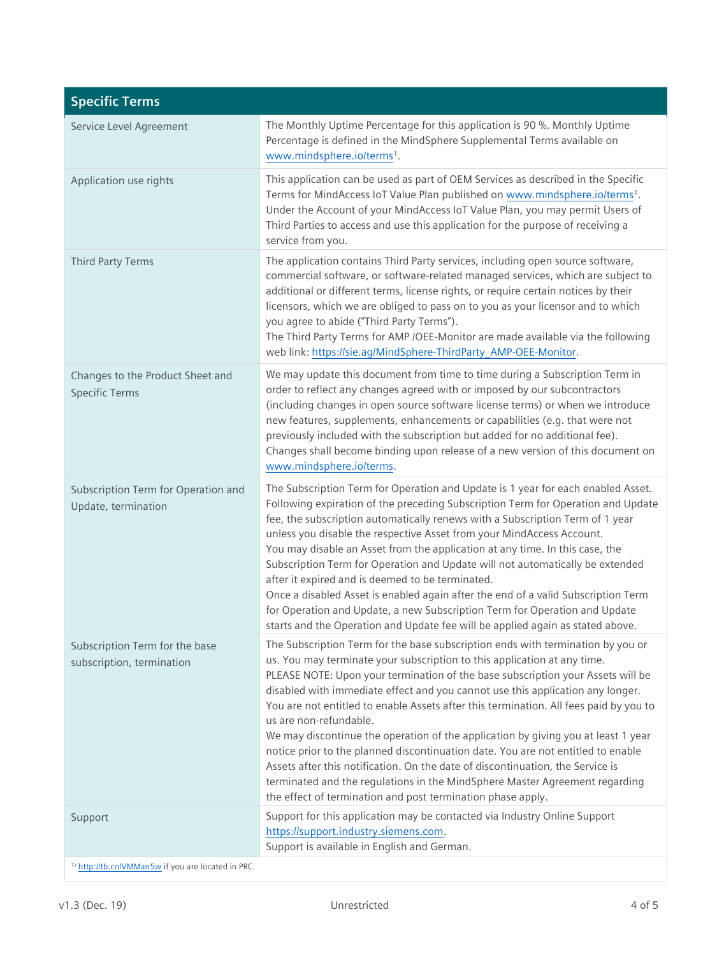| <b>Specific Terms</b>                                         |                                                                                                                                                                                                                                                                                                                                                                                                                                                                                                                                                                                                                                                                                                                                                                                                                                                              |
|---------------------------------------------------------------|--------------------------------------------------------------------------------------------------------------------------------------------------------------------------------------------------------------------------------------------------------------------------------------------------------------------------------------------------------------------------------------------------------------------------------------------------------------------------------------------------------------------------------------------------------------------------------------------------------------------------------------------------------------------------------------------------------------------------------------------------------------------------------------------------------------------------------------------------------------|
| Service Level Agreement                                       | The Monthly Uptime Percentage for this application is 90 %. Monthly Uptime<br>Percentage is defined in the MindSphere Supplemental Terms available on<br>www.mindsphere.io/terms1.                                                                                                                                                                                                                                                                                                                                                                                                                                                                                                                                                                                                                                                                           |
| Application use rights                                        | This application can be used as part of OEM Services as described in the Specific<br>Terms for MindAccess IoT Value Plan published on www.mindsphere.io/terms1.<br>Under the Account of your MindAccess IoT Value Plan, you may permit Users of<br>Third Parties to access and use this application for the purpose of receiving a<br>service from you.                                                                                                                                                                                                                                                                                                                                                                                                                                                                                                      |
| Third Party Terms                                             | The application contains Third Party services, including open source software,<br>commercial software, or software-related managed services, which are subject to<br>additional or different terms, license rights, or require certain notices by their<br>licensors, which we are obliged to pass on to you as your licensor and to which<br>you agree to abide ("Third Party Terms").<br>The Third Party Terms for AMP /OEE-Monitor are made available via the following<br>web link: https://sie.ag/MindSphere-ThirdParty_AMP-OEE-Monitor.                                                                                                                                                                                                                                                                                                                |
| Changes to the Product Sheet and<br><b>Specific Terms</b>     | We may update this document from time to time during a Subscription Term in<br>order to reflect any changes agreed with or imposed by our subcontractors<br>(including changes in open source software license terms) or when we introduce<br>new features, supplements, enhancements or capabilities (e.g. that were not<br>previously included with the subscription but added for no additional fee).<br>Changes shall become binding upon release of a new version of this document on<br>www.mindsphere.io/terms.                                                                                                                                                                                                                                                                                                                                       |
| Subscription Term for Operation and<br>Update, termination    | The Subscription Term for Operation and Update is 1 year for each enabled Asset.<br>Following expiration of the preceding Subscription Term for Operation and Update<br>fee, the subscription automatically renews with a Subscription Term of 1 year<br>unless you disable the respective Asset from your MindAccess Account.<br>You may disable an Asset from the application at any time. In this case, the<br>Subscription Term for Operation and Update will not automatically be extended<br>after it expired and is deemed to be terminated.<br>Once a disabled Asset is enabled again after the end of a valid Subscription Term<br>for Operation and Update, a new Subscription Term for Operation and Update<br>starts and the Operation and Update fee will be applied again as stated above.                                                     |
| Subscription Term for the base<br>subscription, termination   | The Subscription Term for the base subscription ends with termination by you or<br>us. You may terminate your subscription to this application at any time.<br>PLEASE NOTE: Upon your termination of the base subscription your Assets will be<br>disabled with immediate effect and you cannot use this application any longer.<br>You are not entitled to enable Assets after this termination. All fees paid by you to<br>us are non-refundable.<br>We may discontinue the operation of the application by giving you at least 1 year<br>notice prior to the planned discontinuation date. You are not entitled to enable<br>Assets after this notification. On the date of discontinuation, the Service is<br>terminated and the regulations in the MindSphere Master Agreement regarding<br>the effect of termination and post termination phase apply. |
| Support                                                       | Support for this application may be contacted via Industry Online Support<br>https://support.industry.siemens.com.<br>Support is available in English and German.                                                                                                                                                                                                                                                                                                                                                                                                                                                                                                                                                                                                                                                                                            |
| <sup>1)</sup> http://tb.cn/VMMan5w if you are located in PRC. |                                                                                                                                                                                                                                                                                                                                                                                                                                                                                                                                                                                                                                                                                                                                                                                                                                                              |